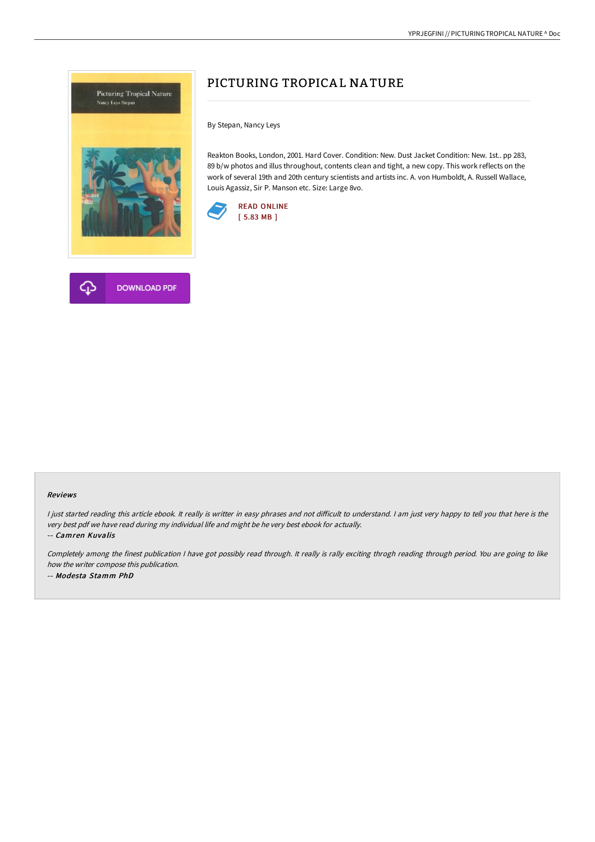



By Stepan, Nancy Leys

Reakton Books, London, 2001. Hard Cover. Condition: New. Dust Jacket Condition: New. 1st.. pp 283, 89 b/w photos and illus throughout, contents clean and tight, a new copy. This work reflects on the work of several 19th and 20th century scientists and artists inc. A. von Humboldt, A. Russell Wallace, Louis Agassiz, Sir P. Manson etc. Size: Large 8vo.





#### Reviews

I just started reading this article ebook. It really is writter in easy phrases and not difficult to understand. I am just very happy to tell you that here is the very best pdf we have read during my individual life and might be he very best ebook for actually.

-- Camren Kuvalis

Completely among the finest publication I have got possibly read through. It really is rally exciting throgh reading through period. You are going to like how the writer compose this publication. -- Modesta Stamm PhD